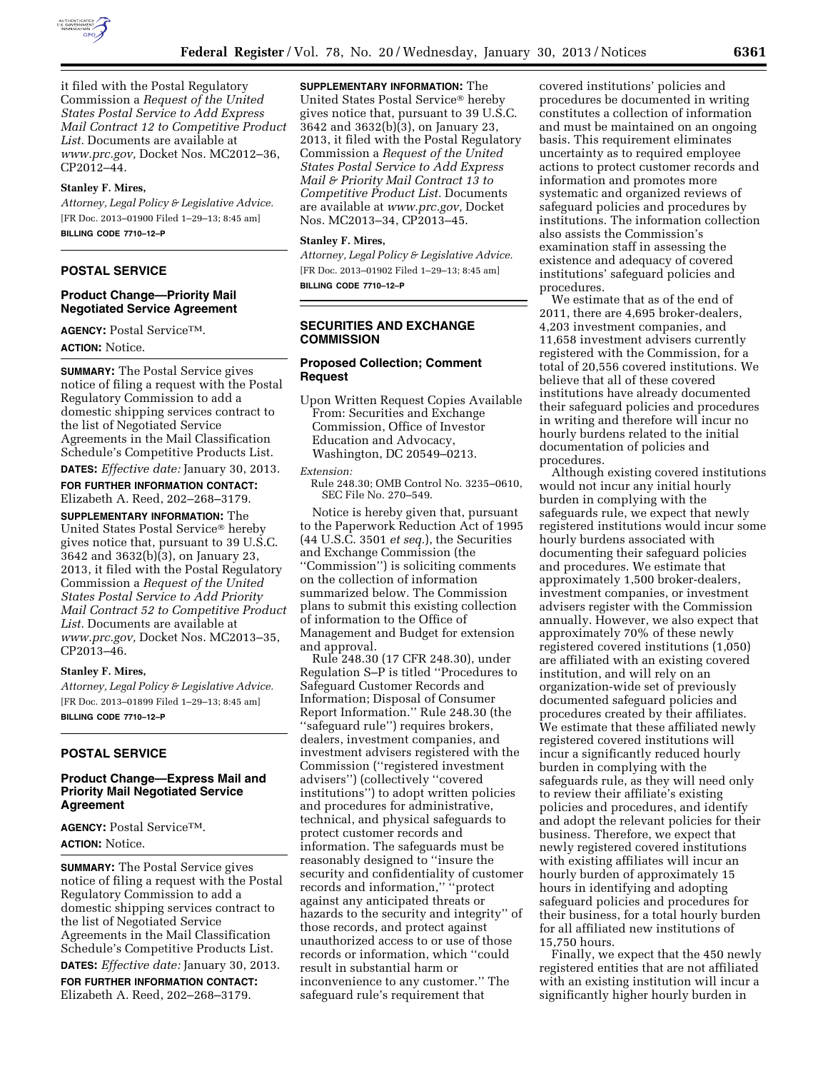

it filed with the Postal Regulatory Commission a *Request of the United States Postal Service to Add Express Mail Contract 12 to Competitive Product List.* Documents are available at *[www.prc.gov,](http://www.prc.gov)* Docket Nos. MC2012–36, CP2012–44.

#### **Stanley F. Mires,**

*Attorney, Legal Policy & Legislative Advice.*  [FR Doc. 2013–01900 Filed 1–29–13; 8:45 am] **BILLING CODE 7710–12–P** 

# **POSTAL SERVICE**

### **Product Change—Priority Mail Negotiated Service Agreement**

**AGENCY:** Postal ServiceTM. **ACTION:** Notice.

**SUMMARY:** The Postal Service gives notice of filing a request with the Postal Regulatory Commission to add a domestic shipping services contract to the list of Negotiated Service Agreements in the Mail Classification Schedule's Competitive Products List.

**DATES:** *Effective date:* January 30, 2013. **FOR FURTHER INFORMATION CONTACT:**  Elizabeth A. Reed, 202–268–3179.

**SUPPLEMENTARY INFORMATION:** The United States Postal Service® hereby gives notice that, pursuant to 39 U.S.C. 3642 and 3632(b)(3), on January 23, 2013, it filed with the Postal Regulatory Commission a *Request of the United States Postal Service to Add Priority Mail Contract 52 to Competitive Product List.* Documents are available at *[www.prc.gov,](http://www.prc.gov)* Docket Nos. MC2013–35, CP2013–46.

#### **Stanley F. Mires,**

*Attorney, Legal Policy & Legislative Advice.*  [FR Doc. 2013–01899 Filed 1–29–13; 8:45 am] **BILLING CODE 7710–12–P** 

### **POSTAL SERVICE**

## **Product Change—Express Mail and Priority Mail Negotiated Service Agreement**

**AGENCY:** Postal ServiceTM. **ACTION:** Notice.

**SUMMARY:** The Postal Service gives notice of filing a request with the Postal Regulatory Commission to add a domestic shipping services contract to the list of Negotiated Service Agreements in the Mail Classification Schedule's Competitive Products List.

**DATES:** *Effective date:* January 30, 2013. **FOR FURTHER INFORMATION CONTACT:**  Elizabeth A. Reed, 202–268–3179.

**SUPPLEMENTARY INFORMATION:** The

United States Postal Service® hereby gives notice that, pursuant to 39 U.S.C. 3642 and 3632(b)(3), on January 23, 2013, it filed with the Postal Regulatory Commission a *Request of the United States Postal Service to Add Express Mail & Priority Mail Contract 13 to Competitive Product List.* Documents are available at *[www.prc.gov,](http://www.prc.gov)* Docket Nos. MC2013–34, CP2013–45.

## **Stanley F. Mires,**

*Attorney, Legal Policy & Legislative Advice.*  [FR Doc. 2013–01902 Filed 1–29–13; 8:45 am] **BILLING CODE 7710–12–P** 

# **SECURITIES AND EXCHANGE COMMISSION**

### **Proposed Collection; Comment Request**

Upon Written Request Copies Available From: Securities and Exchange Commission, Office of Investor Education and Advocacy, Washington, DC 20549–0213.

*Extension:* 

Rule 248.30; OMB Control No. 3235–0610, SEC File No. 270–549.

Notice is hereby given that, pursuant to the Paperwork Reduction Act of 1995 (44 U.S.C. 3501 *et seq.*), the Securities and Exchange Commission (the ''Commission'') is soliciting comments on the collection of information summarized below. The Commission plans to submit this existing collection of information to the Office of Management and Budget for extension and approval.

Rule 248.30 (17 CFR 248.30), under Regulation S–P is titled ''Procedures to Safeguard Customer Records and Information; Disposal of Consumer Report Information.'' Rule 248.30 (the ''safeguard rule'') requires brokers, dealers, investment companies, and investment advisers registered with the Commission (''registered investment advisers'') (collectively ''covered institutions'') to adopt written policies and procedures for administrative, technical, and physical safeguards to protect customer records and information. The safeguards must be reasonably designed to ''insure the security and confidentiality of customer records and information,'' ''protect against any anticipated threats or hazards to the security and integrity'' of those records, and protect against unauthorized access to or use of those records or information, which ''could result in substantial harm or inconvenience to any customer.'' The safeguard rule's requirement that

covered institutions' policies and procedures be documented in writing constitutes a collection of information and must be maintained on an ongoing basis. This requirement eliminates uncertainty as to required employee actions to protect customer records and information and promotes more systematic and organized reviews of safeguard policies and procedures by institutions. The information collection also assists the Commission's examination staff in assessing the existence and adequacy of covered institutions' safeguard policies and procedures.

We estimate that as of the end of 2011, there are 4,695 broker-dealers, 4,203 investment companies, and 11,658 investment advisers currently registered with the Commission, for a total of 20,556 covered institutions. We believe that all of these covered institutions have already documented their safeguard policies and procedures in writing and therefore will incur no hourly burdens related to the initial documentation of policies and procedures.

Although existing covered institutions would not incur any initial hourly burden in complying with the safeguards rule, we expect that newly registered institutions would incur some hourly burdens associated with documenting their safeguard policies and procedures. We estimate that approximately 1,500 broker-dealers, investment companies, or investment advisers register with the Commission annually. However, we also expect that approximately 70% of these newly registered covered institutions (1,050) are affiliated with an existing covered institution, and will rely on an organization-wide set of previously documented safeguard policies and procedures created by their affiliates. We estimate that these affiliated newly registered covered institutions will incur a significantly reduced hourly burden in complying with the safeguards rule, as they will need only to review their affiliate's existing policies and procedures, and identify and adopt the relevant policies for their business. Therefore, we expect that newly registered covered institutions with existing affiliates will incur an hourly burden of approximately 15 hours in identifying and adopting safeguard policies and procedures for their business, for a total hourly burden for all affiliated new institutions of 15,750 hours.

Finally, we expect that the 450 newly registered entities that are not affiliated with an existing institution will incur a significantly higher hourly burden in